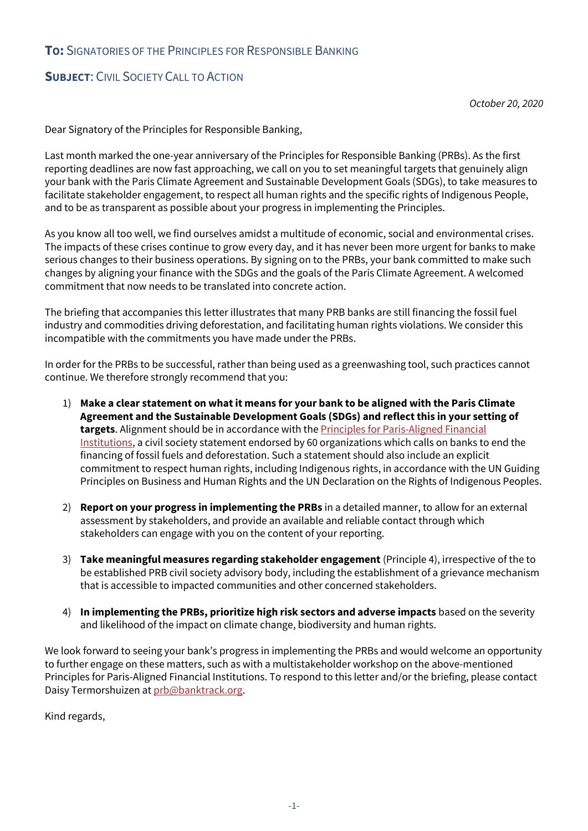## **TO:** SIGNATORIES OF THE PRINCIPLES FOR RESPONSIBLE BANKING

## **SUBJECT**: CIVIL SOCIETY CALL TO ACTION

*October 20, 2020*

Dear Signatory of the Principles for Responsible Banking,

Last month marked the one-year anniversary of the Principles for Responsible Banking (PRBs). As the first reporting deadlines are now fast approaching, we call on you to set meaningful targets that genuinely align your bank with the Paris Climate Agreement and Sustainable Development Goals (SDGs), to take measures to facilitate stakeholder engagement, to respect all human rights and the specific rights of Indigenous People, and to be as transparent as possible about your progress in implementing the Principles.

As you know all too well, we find ourselves amidst a multitude of economic, social and environmental crises. The impacts of these crises continue to grow every day, and it has never been more urgent for banks to make serious changes to their business operations. By signing on to the PRBs, your bank committed to make such changes by aligning your finance with the SDGs and the goals of the Paris Climate Agreement. A welcomed commitment that now needs to be translated into concrete action.

The briefing that accompanies this letter illustrates that many PRB banks are still financing the fossil fuel industry and commodities driving deforestation, and facilitating human rights violations. We consider this incompatible with the commitments you have made under the PRBs.

In order for the PRBs to be successful, rather than being used as a greenwashing tool, such practices cannot continue. We therefore strongly recommend that you:

- 1) **Make a clear statement on what it means for your bank to be aligned with the Paris Climate Agreement and the Sustainable Development Goals (SDGs) and reflect this in your setting of targets**. Alignment should be in accordance with the [Principles for Paris-Aligned Financial](https://www.ran.org/wp-content/uploads/2020/09/RAN_Principles_for_Paris-Aligned_Financial_Institutions.pdf)  [Institutions,](https://www.ran.org/wp-content/uploads/2020/09/RAN_Principles_for_Paris-Aligned_Financial_Institutions.pdf) a civil society statement endorsed by 60 organizations which calls on banks to end the financing of fossil fuels and deforestation. Such a statement should also include an explicit commitment to respect human rights, including Indigenous rights, in accordance with the UN Guiding Principles on Business and Human Rights and the UN Declaration on the Rights of Indigenous Peoples.
- 2) **Report on your progress in implementing the PRBs** in a detailed manner, to allow for an external assessment by stakeholders, and provide an available and reliable contact through which stakeholders can engage with you on the content of your reporting.
- 3) **Take meaningful measures regarding stakeholder engagement** (Principle 4), irrespective of the to be established PRB civil society advisory body, including the establishment of a grievance mechanism that is accessible to impacted communities and other concerned stakeholders.
- 4) **In implementing the PRBs, prioritize high risk sectors and adverse impacts** based on the severity and likelihood of the impact on climate change, biodiversity and human rights.

We look forward to seeing your bank's progress in implementing the PRBs and would welcome an opportunity to further engage on these matters, such as with a multistakeholder workshop on the above-mentioned Principles for Paris-Aligned Financial Institutions. To respond to this letter and/or the briefing, please contact Daisy Termorshuizen a[t prb@banktrack.org.](mailto:prb@banktrack.org)

Kind regards,